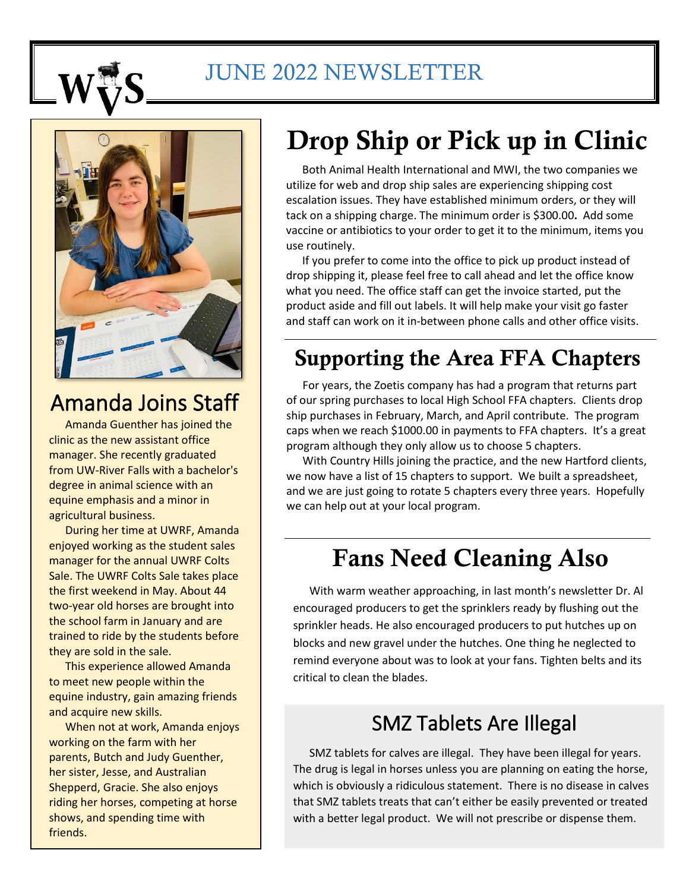

## JUNE 2022 NEWSLETTER



## Amanda Joins Staff

Amanda Guenther has joined the clinic as the new assistant office manager. She recently graduated from UW-River Falls with a bachelor's degree in animal science with an equine emphasis and a minor in agricultural business.

During her time at UWRF, Amanda enjoyed working as the student sales manager for the annual UWRF Colts Sale. The UWRF Colts Sale takes place the first weekend in May. About 44 two-year old horses are brought into the school farm in January and are trained to ride by the students before they are sold in the sale.

This experience allowed Amanda to meet new people within the equine industry, gain amazing friends and acquire new skills.

When not at work, Amanda enjoys working on the farm with her parents, Butch and Judy Guenther, her sister, Jesse, and Australian Shepperd, Gracie. She also enjoys riding her horses, competing at horse shows, and spending time with friends.

# Drop Ship or Pick up in Clinic

Both Animal Health International and MWI, the two companies we utilize for web and drop ship sales are experiencing shipping cost escalation issues. They have established minimum orders, or they will tack on a shipping charge. The minimum order is \$300.00**.** Add some vaccine or antibiotics to your order to get it to the minimum, items you use routinely.

If you prefer to come into the office to pick up product instead of drop shipping it, please feel free to call ahead and let the office know what you need. The office staff can get the invoice started, put the product aside and fill out labels. It will help make your visit go faster and staff can work on it in-between phone calls and other office visits.

## Supporting the Area FFA Chapters

For years, the Zoetis company has had a program that returns part of our spring purchases to local High School FFA chapters. Clients drop ship purchases in February, March, and April contribute. The program caps when we reach \$1000.00 in payments to FFA chapters. It's a great program although they only allow us to choose 5 chapters.

With Country Hills joining the practice, and the new Hartford clients, we now have a list of 15 chapters to support. We built a spreadsheet, and we are just going to rotate 5 chapters every three years. Hopefully we can help out at your local program.

## Fans Need Cleaning Also

With warm weather approaching, in last month's newsletter Dr. Al encouraged producers to get the sprinklers ready by flushing out the sprinkler heads. He also encouraged producers to put hutches up on blocks and new gravel under the hutches. One thing he neglected to remind everyone about was to look at your fans. Tighten belts and its critical to clean the blades.

#### SMZ Tablets Are Illegal

SMZ tablets for calves are illegal. They have been illegal for years. The drug is legal in horses unless you are planning on eating the horse, which is obviously a ridiculous statement. There is no disease in calves that SMZ tablets treats that can't either be easily prevented or treated with a better legal product. We will not prescribe or dispense them.